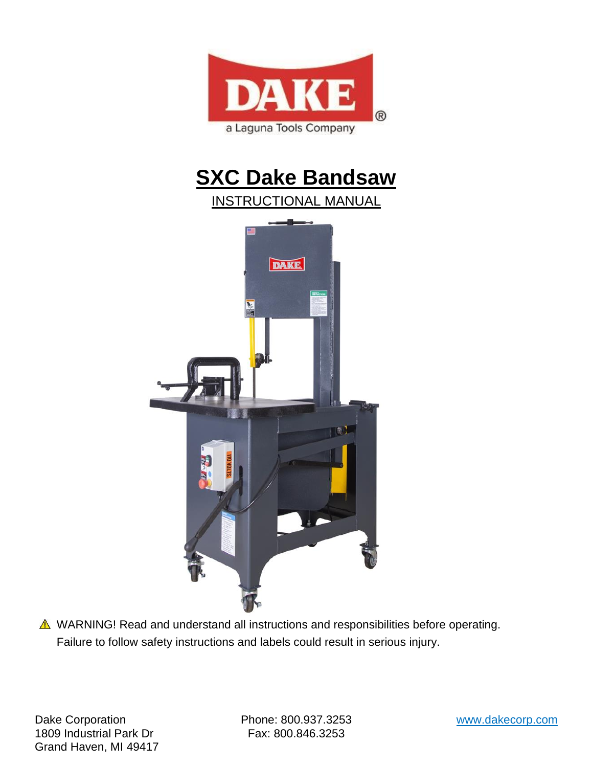

# **SXC Dake Bandsaw**



▲ WARNING! Read and understand all instructions and responsibilities before operating. Failure to follow safety instructions and labels could result in serious injury.

Dake Corporation Phone: 800.937.3253 www.dakecorp.com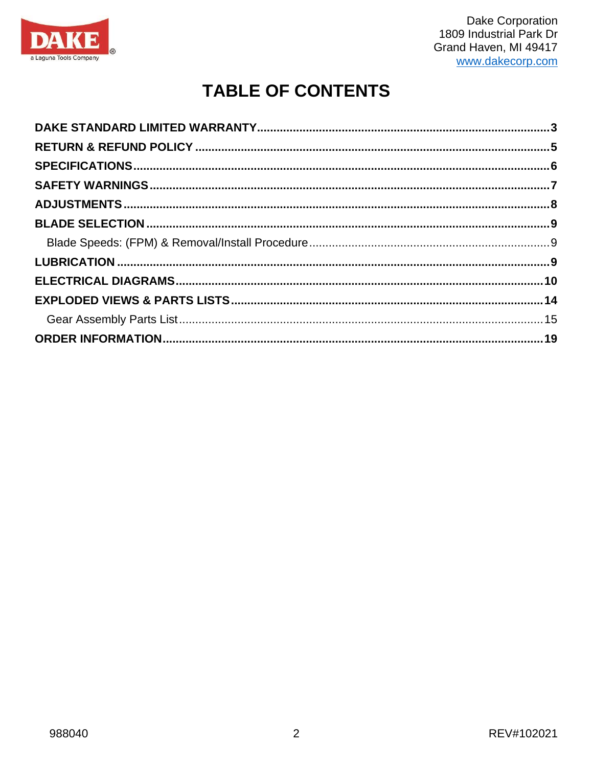

# **TABLE OF CONTENTS**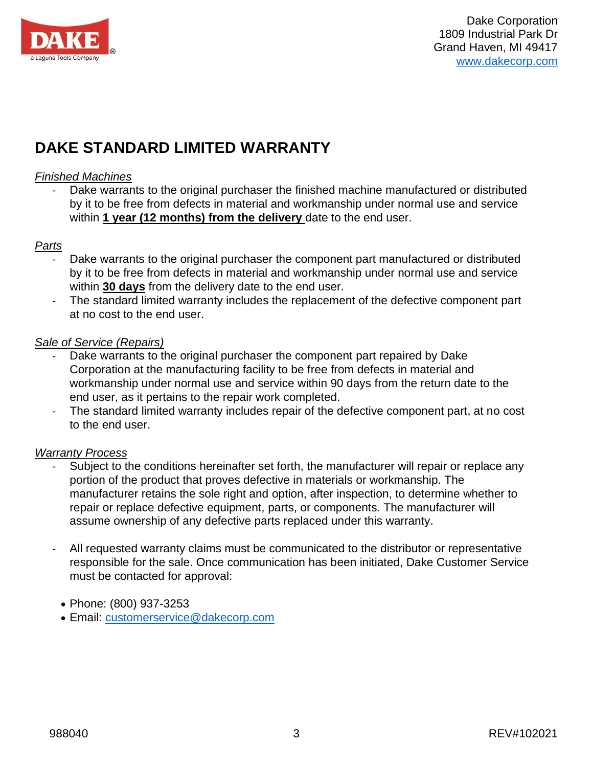

# <span id="page-2-0"></span>**DAKE STANDARD LIMITED WARRANTY**

#### *Finished Machines*

Dake warrants to the original purchaser the finished machine manufactured or distributed by it to be free from defects in material and workmanship under normal use and service within **1 year (12 months) from the delivery** date to the end user.

#### *Parts*

- Dake warrants to the original purchaser the component part manufactured or distributed by it to be free from defects in material and workmanship under normal use and service within **30 days** from the delivery date to the end user.
- The standard limited warranty includes the replacement of the defective component part at no cost to the end user.

#### *Sale of Service (Repairs)*

- Dake warrants to the original purchaser the component part repaired by Dake Corporation at the manufacturing facility to be free from defects in material and workmanship under normal use and service within 90 days from the return date to the end user, as it pertains to the repair work completed.
- The standard limited warranty includes repair of the defective component part, at no cost to the end user.

#### *Warranty Process*

- Subject to the conditions hereinafter set forth, the manufacturer will repair or replace any portion of the product that proves defective in materials or workmanship. The manufacturer retains the sole right and option, after inspection, to determine whether to repair or replace defective equipment, parts, or components. The manufacturer will assume ownership of any defective parts replaced under this warranty.
- All requested warranty claims must be communicated to the distributor or representative responsible for the sale. Once communication has been initiated, Dake Customer Service must be contacted for approval:
	- Phone: (800) 937-3253
	- Email: customerservice@dakecorp.com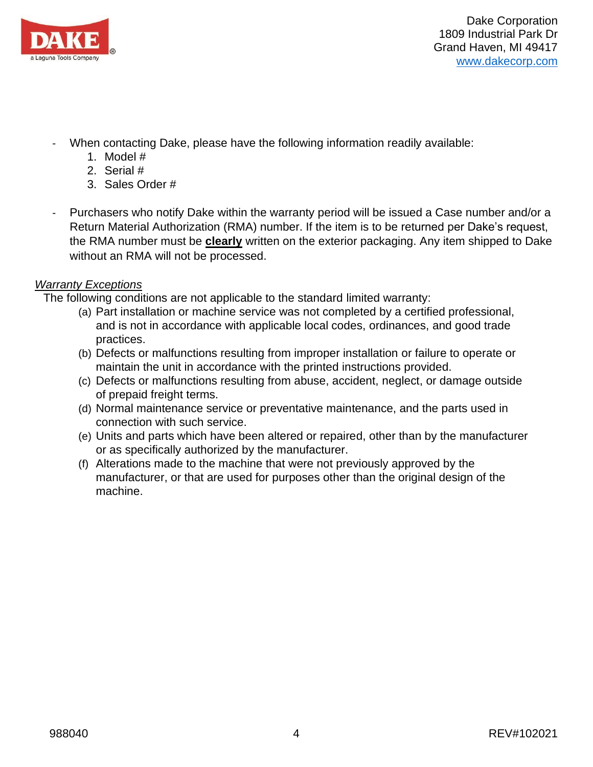

- When contacting Dake, please have the following information readily available:
	- 1. Model #
	- 2. Serial #
	- 3. Sales Order #
- Purchasers who notify Dake within the warranty period will be issued a Case number and/or a Return Material Authorization (RMA) number. If the item is to be returned per Dake's request, the RMA number must be **clearly** written on the exterior packaging. Any item shipped to Dake without an RMA will not be processed.

### *Warranty Exceptions*

The following conditions are not applicable to the standard limited warranty:

- (a) Part installation or machine service was not completed by a certified professional, and is not in accordance with applicable local codes, ordinances, and good trade practices.
- (b) Defects or malfunctions resulting from improper installation or failure to operate or maintain the unit in accordance with the printed instructions provided.
- (c) Defects or malfunctions resulting from abuse, accident, neglect, or damage outside of prepaid freight terms.
- (d) Normal maintenance service or preventative maintenance, and the parts used in connection with such service.
- (e) Units and parts which have been altered or repaired, other than by the manufacturer or as specifically authorized by the manufacturer.
- (f) Alterations made to the machine that were not previously approved by the manufacturer, or that are used for purposes other than the original design of the machine.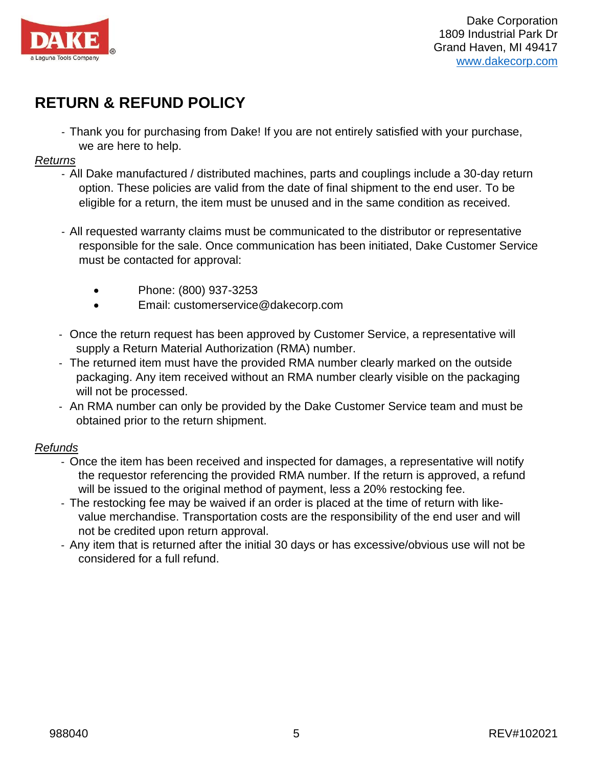

# <span id="page-4-0"></span>**RETURN & REFUND POLICY**

- Thank you for purchasing from Dake! If you are not entirely satisfied with your purchase, we are here to help.

#### *Returns*

- All Dake manufactured / distributed machines, parts and couplings include a 30-day return option. These policies are valid from the date of final shipment to the end user. To be eligible for a return, the item must be unused and in the same condition as received.
- All requested warranty claims must be communicated to the distributor or representative responsible for the sale. Once communication has been initiated, Dake Customer Service must be contacted for approval:
	- Phone: (800) 937-3253
	- Email: customerservice@dakecorp.com
- Once the return request has been approved by Customer Service, a representative will supply a Return Material Authorization (RMA) number.
- The returned item must have the provided RMA number clearly marked on the outside packaging. Any item received without an RMA number clearly visible on the packaging will not be processed.
- An RMA number can only be provided by the Dake Customer Service team and must be obtained prior to the return shipment.

### *Refunds*

- Once the item has been received and inspected for damages, a representative will notify the requestor referencing the provided RMA number. If the return is approved, a refund will be issued to the original method of payment, less a 20% restocking fee.
- The restocking fee may be waived if an order is placed at the time of return with likevalue merchandise. Transportation costs are the responsibility of the end user and will not be credited upon return approval.
- Any item that is returned after the initial 30 days or has excessive/obvious use will not be considered for a full refund.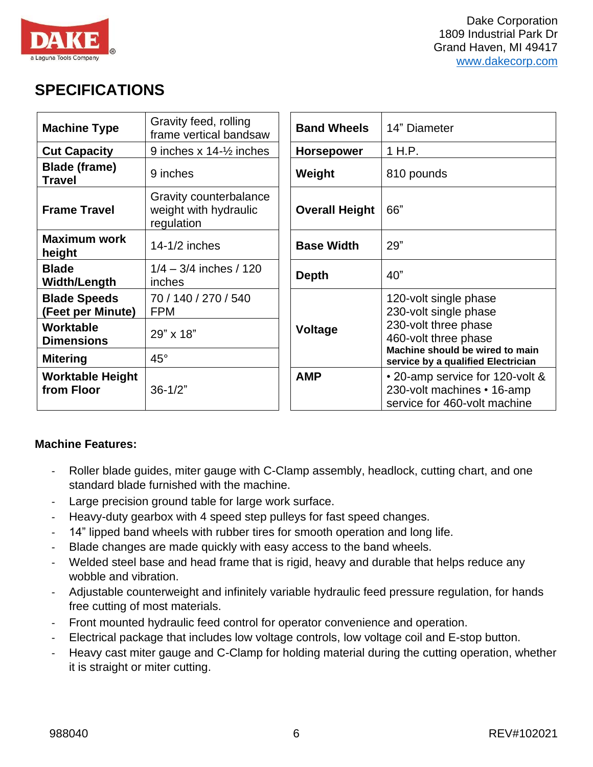

### <span id="page-5-0"></span>**SPECIFICATIONS**

| <b>Machine Type</b>                      | Gravity feed, rolling<br>frame vertical bandsaw               | <b>Band Wheels</b>    | 14" Diameter                                                                                  |
|------------------------------------------|---------------------------------------------------------------|-----------------------|-----------------------------------------------------------------------------------------------|
| <b>Cut Capacity</b>                      | 9 inches $x$ 14- $\frac{1}{2}$ inches                         | <b>Horsepower</b>     | 1 H.P.                                                                                        |
| Blade (frame)<br><b>Travel</b>           | 9 inches                                                      | Weight                | 810 pounds                                                                                    |
| <b>Frame Travel</b>                      | Gravity counterbalance<br>weight with hydraulic<br>regulation | <b>Overall Height</b> | 66"                                                                                           |
| <b>Maximum work</b><br>height            | $14-1/2$ inches                                               | <b>Base Width</b>     | 29"                                                                                           |
| <b>Blade</b><br><b>Width/Length</b>      | $1/4 - 3/4$ inches / 120<br>inches                            | <b>Depth</b>          | 40"                                                                                           |
| <b>Blade Speeds</b><br>(Feet per Minute) | 70 / 140 / 270 / 540<br><b>FPM</b>                            |                       | 120-volt single phase<br>230-volt single phase                                                |
| <b>Worktable</b><br><b>Dimensions</b>    | 29" x 18"                                                     | <b>Voltage</b>        | 230-volt three phase<br>460-volt three phase<br>Machine should be wired to main               |
| <b>Mitering</b>                          | $45^{\circ}$                                                  |                       | service by a qualified Electrician                                                            |
| <b>Worktable Height</b><br>from Floor    | $36 - 1/2"$                                                   | <b>AMP</b>            | • 20-amp service for 120-volt &<br>230-volt machines • 16-amp<br>service for 460-volt machine |

### **Machine Features:**

- Roller blade guides, miter gauge with C-Clamp assembly, headlock, cutting chart, and one standard blade furnished with the machine.
- Large precision ground table for large work surface.
- Heavy-duty gearbox with 4 speed step pulleys for fast speed changes.
- 14" lipped band wheels with rubber tires for smooth operation and long life.
- Blade changes are made quickly with easy access to the band wheels.
- Welded steel base and head frame that is rigid, heavy and durable that helps reduce any wobble and vibration.
- Adjustable counterweight and infinitely variable hydraulic feed pressure regulation, for hands free cutting of most materials.
- Front mounted hydraulic feed control for operator convenience and operation.
- Electrical package that includes low voltage controls, low voltage coil and E-stop button.
- Heavy cast miter gauge and C-Clamp for holding material during the cutting operation, whether it is straight or miter cutting.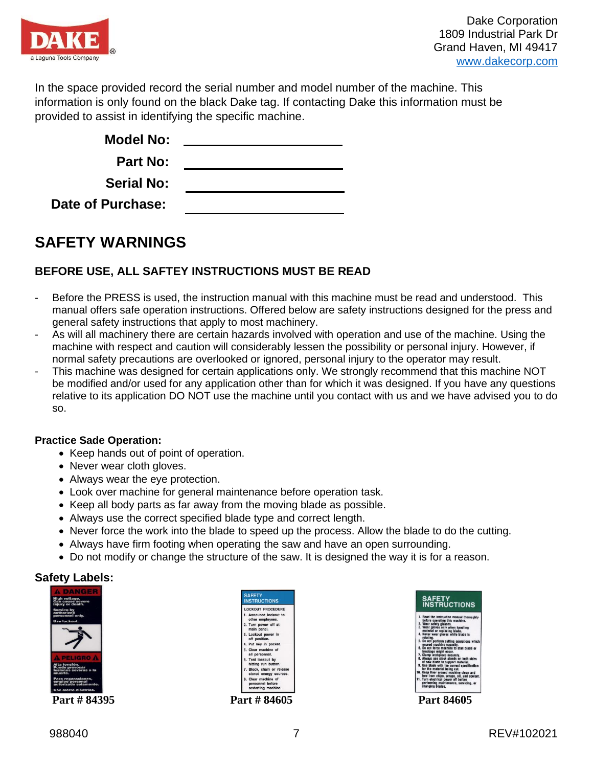

In the space provided record the serial number and model number of the machine. This information is only found on the black Dake tag. If contacting Dake this information must be provided to assist in identifying the specific machine.

| <b>Model No:</b>  |  |
|-------------------|--|
| <b>Part No:</b>   |  |
| <b>Serial No:</b> |  |
| Date of Purchase: |  |

### <span id="page-6-0"></span>**SAFETY WARNINGS**

### **BEFORE USE, ALL SAFTEY INSTRUCTIONS MUST BE READ**

- Before the PRESS is used, the instruction manual with this machine must be read and understood. This manual offers safe operation instructions. Offered below are safety instructions designed for the press and general safety instructions that apply to most machinery.
- As will all machinery there are certain hazards involved with operation and use of the machine. Using the machine with respect and caution will considerably lessen the possibility or personal injury. However, if normal safety precautions are overlooked or ignored, personal injury to the operator may result.
- This machine was designed for certain applications only. We strongly recommend that this machine NOT be modified and/or used for any application other than for which it was designed. If you have any questions relative to its application DO NOT use the machine until you contact with us and we have advised you to do so.

#### **Practice Sade Operation:**

- Keep hands out of point of operation.
- Never wear cloth gloves.
- Always wear the eye protection.
- Look over machine for general maintenance before operation task.
- Keep all body parts as far away from the moving blade as possible.
- Always use the correct specified blade type and correct length.
- Never force the work into the blade to speed up the process. Allow the blade to do the cutting.
- Always have firm footing when operating the saw and have an open surrounding.
- Do not modify or change the structure of the saw. It is designed the way it is for a reason.

#### **Safety Labels:**





FETY<br>STRUCTIONS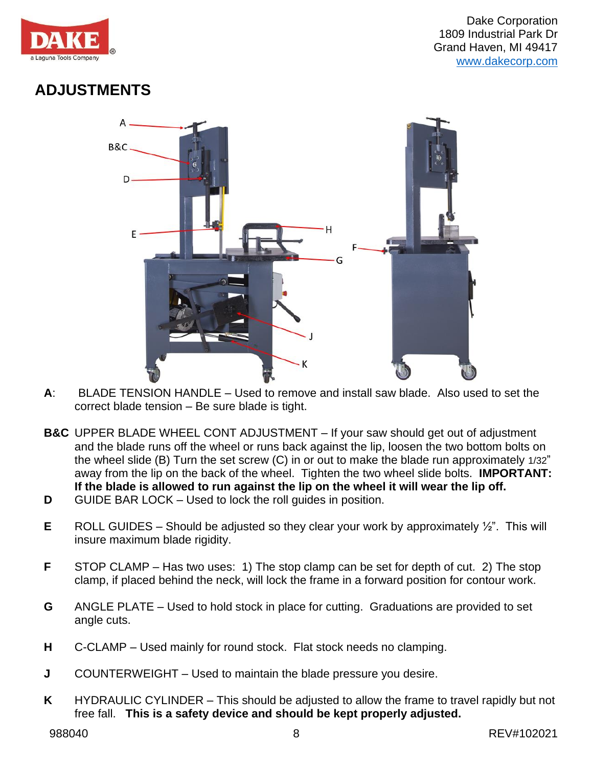

## <span id="page-7-0"></span>**ADJUSTMENTS**



- **A**: BLADE TENSION HANDLE Used to remove and install saw blade. Also used to set the correct blade tension – Be sure blade is tight.
- **B&C** UPPER BLADE WHEEL CONT ADJUSTMENT If your saw should get out of adjustment and the blade runs off the wheel or runs back against the lip, loosen the two bottom bolts on the wheel slide (B) Turn the set screw (C) in or out to make the blade run approximately 1/32" away from the lip on the back of the wheel. Tighten the two wheel slide bolts. **IMPORTANT: If the blade is allowed to run against the lip on the wheel it will wear the lip off.**
- **D** GUIDE BAR LOCK Used to lock the roll guides in position.
- **E** ROLL GUIDES Should be adjusted so they clear your work by approximately ½". This will insure maximum blade rigidity.
- **F** STOP CLAMP Has two uses: 1) The stop clamp can be set for depth of cut. 2) The stop clamp, if placed behind the neck, will lock the frame in a forward position for contour work.
- **G** ANGLE PLATE Used to hold stock in place for cutting. Graduations are provided to set angle cuts.
- **H** C-CLAMP Used mainly for round stock. Flat stock needs no clamping.
- **J** COUNTERWEIGHT Used to maintain the blade pressure you desire.
- **K** HYDRAULIC CYLINDER This should be adjusted to allow the frame to travel rapidly but not free fall. **This is a safety device and should be kept properly adjusted.**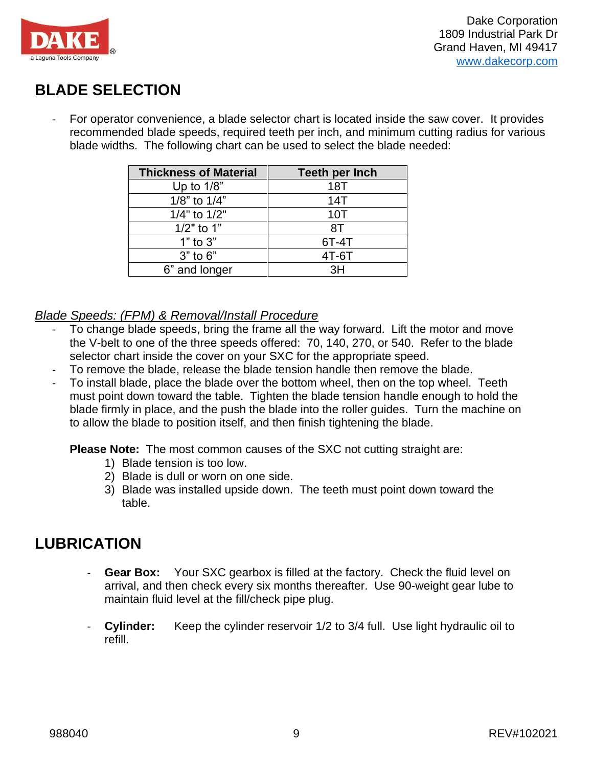

## <span id="page-8-0"></span>**BLADE SELECTION**

- For operator convenience, a blade selector chart is located inside the saw cover. It provides recommended blade speeds, required teeth per inch, and minimum cutting radius for various blade widths. The following chart can be used to select the blade needed:

| <b>Thickness of Material</b> | <b>Teeth per Inch</b> |
|------------------------------|-----------------------|
| Up to $1/8$ "                | 18T                   |
| 1/8" to 1/4"                 | 14T                   |
| 1/4" to 1/2"                 | 10T                   |
| $1/2"$ to 1"                 | 8T                    |
| $1"$ to $3"$                 | 6T-4T                 |
| $3"$ to $6"$                 | $4T-6T$               |
| 6" and longer                | κн                    |

### <span id="page-8-1"></span>*Blade Speeds: (FPM) & Removal/Install Procedure*

- To change blade speeds, bring the frame all the way forward. Lift the motor and move the V-belt to one of the three speeds offered: 70, 140, 270, or 540. Refer to the blade selector chart inside the cover on your SXC for the appropriate speed.
- To remove the blade, release the blade tension handle then remove the blade.
- To install blade, place the blade over the bottom wheel, then on the top wheel. Teeth must point down toward the table. Tighten the blade tension handle enough to hold the blade firmly in place, and the push the blade into the roller guides. Turn the machine on to allow the blade to position itself, and then finish tightening the blade.

**Please Note:** The most common causes of the SXC not cutting straight are:

- 1) Blade tension is too low.
- 2) Blade is dull or worn on one side.
- 3) Blade was installed upside down. The teeth must point down toward the table.

### <span id="page-8-2"></span>**LUBRICATION**

- **Gear Box:** Your SXC gearbox is filled at the factory. Check the fluid level on arrival, and then check every six months thereafter. Use 90-weight gear lube to maintain fluid level at the fill/check pipe plug.
- **Cylinder:** Keep the cylinder reservoir 1/2 to 3/4 full. Use light hydraulic oil to refill.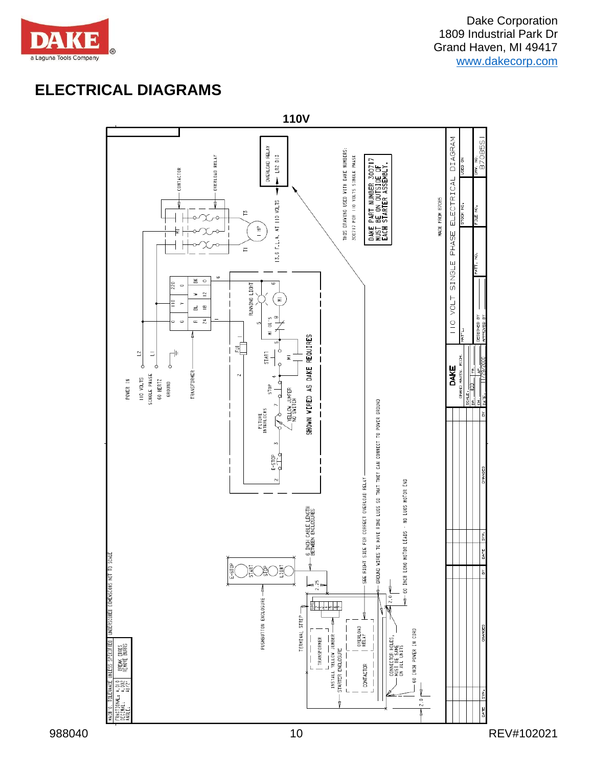

## <span id="page-9-0"></span>**ELECTRICAL DIAGRAMS**

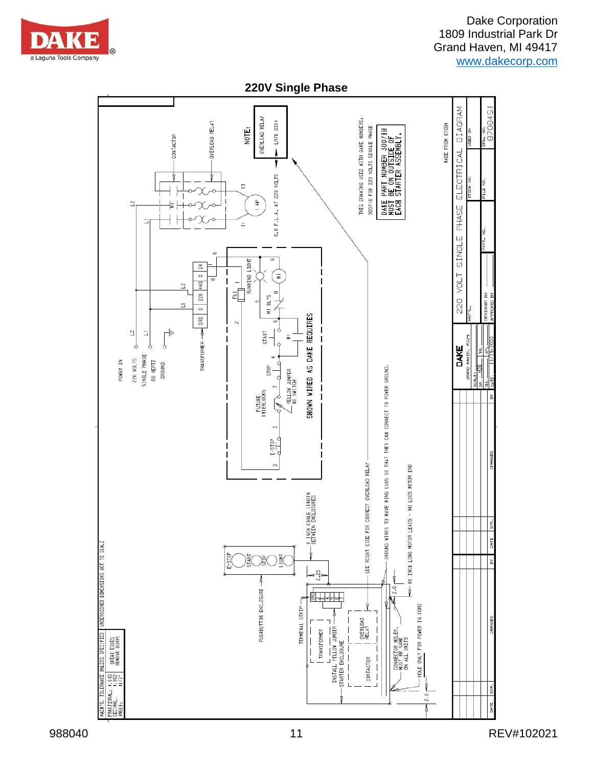

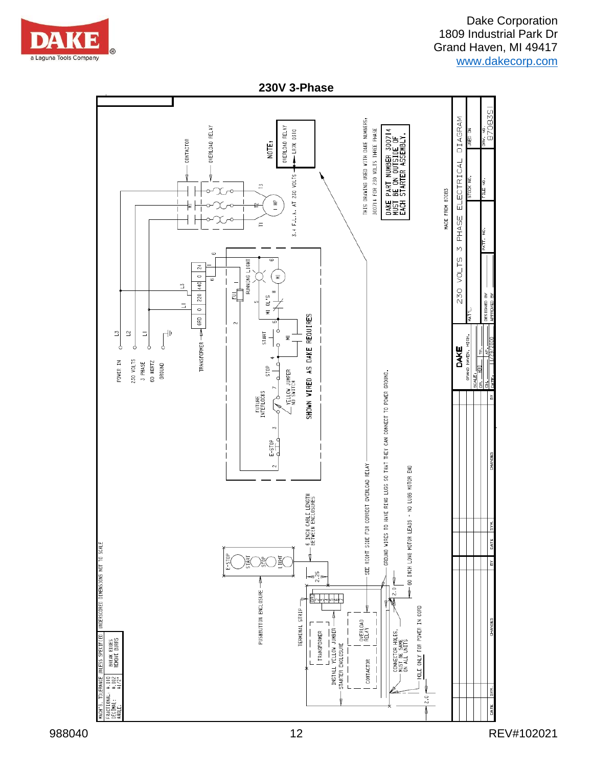

**230V 3-Phase**

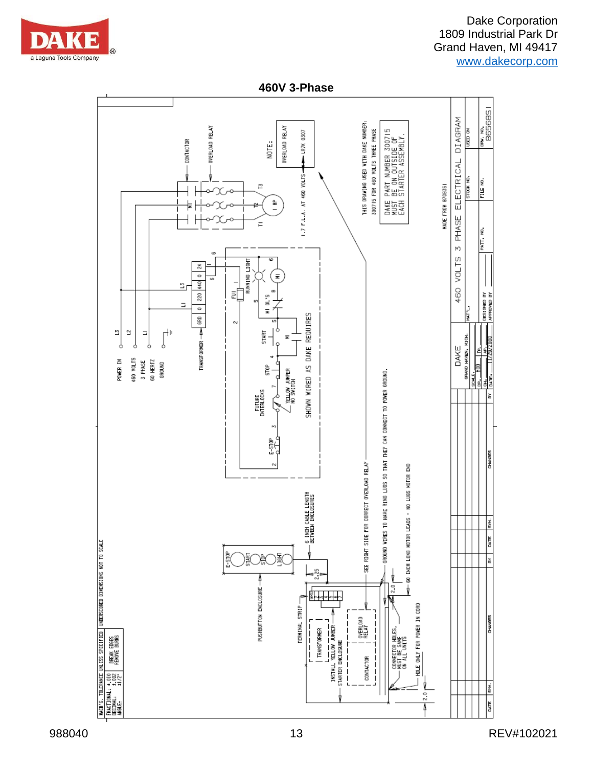

**460V 3-Phase**

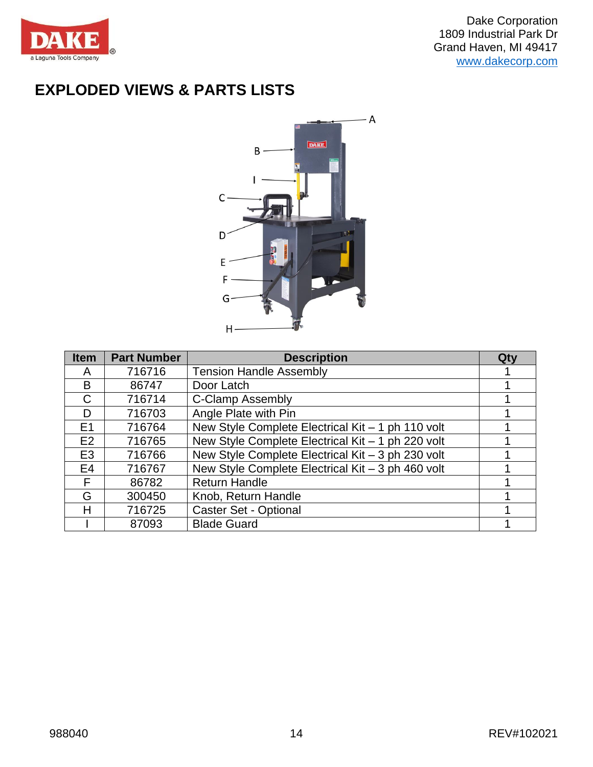

# <span id="page-13-0"></span>**EXPLODED VIEWS & PARTS LISTS**



| <b>Item</b>    | <b>Part Number</b> | <b>Description</b>                                | Qty |
|----------------|--------------------|---------------------------------------------------|-----|
| A              | 716716             | <b>Tension Handle Assembly</b>                    |     |
| B              | 86747              | Door Latch                                        |     |
| C              | 716714             | <b>C-Clamp Assembly</b>                           |     |
| D              | 716703             | Angle Plate with Pin                              |     |
| E1             | 716764             | New Style Complete Electrical Kit - 1 ph 110 volt |     |
| E2             | 716765             | New Style Complete Electrical Kit - 1 ph 220 volt |     |
| E <sub>3</sub> | 716766             | New Style Complete Electrical Kit - 3 ph 230 volt |     |
| E <sub>4</sub> | 716767             | New Style Complete Electrical Kit - 3 ph 460 volt |     |
| F              | 86782              | <b>Return Handle</b>                              |     |
| G              | 300450             | Knob, Return Handle                               |     |
| Н              | 716725             | Caster Set - Optional                             |     |
|                | 87093              | <b>Blade Guard</b>                                |     |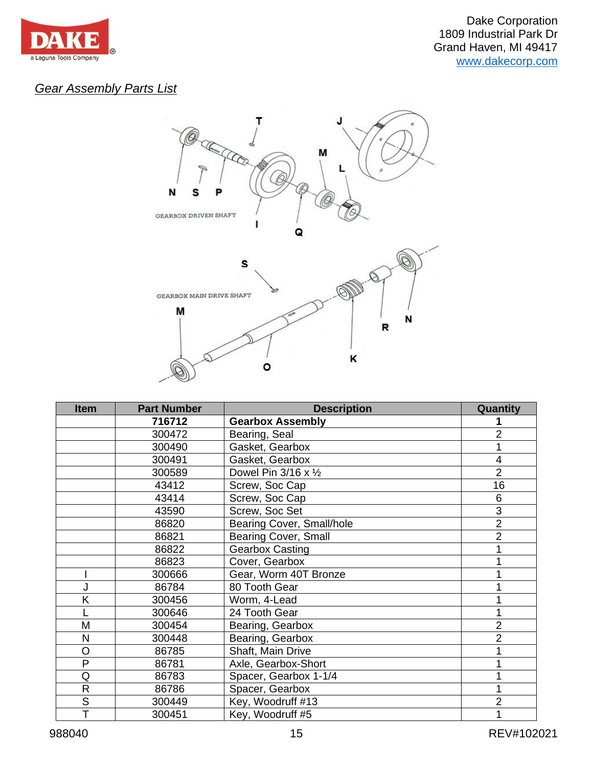

### <span id="page-14-0"></span>*Gear Assembly Parts List*



| <b>Item</b>  | <b>Part Number</b> | <b>Description</b>                  | Quantity       |
|--------------|--------------------|-------------------------------------|----------------|
|              | 716712             | <b>Gearbox Assembly</b>             |                |
|              | 300472             | Bearing, Seal                       | 2              |
|              | 300490             | Gasket, Gearbox                     |                |
|              | 300491             | Gasket, Gearbox                     | 4              |
|              | 300589             | Dowel Pin $3/16 \times \frac{1}{2}$ | $\overline{2}$ |
|              | 43412              | Screw, Soc Cap                      | 16             |
|              | 43414              | Screw, Soc Cap                      | 6              |
|              | 43590              | Screw, Soc Set                      | $\overline{3}$ |
|              | 86820              | Bearing Cover, Small/hole           | $\overline{2}$ |
|              | 86821              | <b>Bearing Cover, Small</b>         | $\overline{2}$ |
|              | 86822              | <b>Gearbox Casting</b>              |                |
|              | 86823              | Cover, Gearbox                      |                |
|              | 300666             | Gear, Worm 40T Bronze               |                |
|              | 86784              | 80 Tooth Gear                       |                |
| Κ            | 300456             | Worm, 4-Lead                        |                |
|              | 300646             | 24 Tooth Gear                       |                |
| M            | 300454             | Bearing, Gearbox                    | $\overline{2}$ |
| N            | 300448             | Bearing, Gearbox                    | $\overline{2}$ |
| O            | 86785              | Shaft, Main Drive                   |                |
| P            | 86781              | Axle, Gearbox-Short                 |                |
| Q            | 86783              | Spacer, Gearbox 1-1/4               |                |
| $\mathsf{R}$ | 86786              | Spacer, Gearbox                     |                |
| S            | 300449             | Key, Woodruff #13                   | 2              |
| T            | 300451             | Key, Woodruff #5                    |                |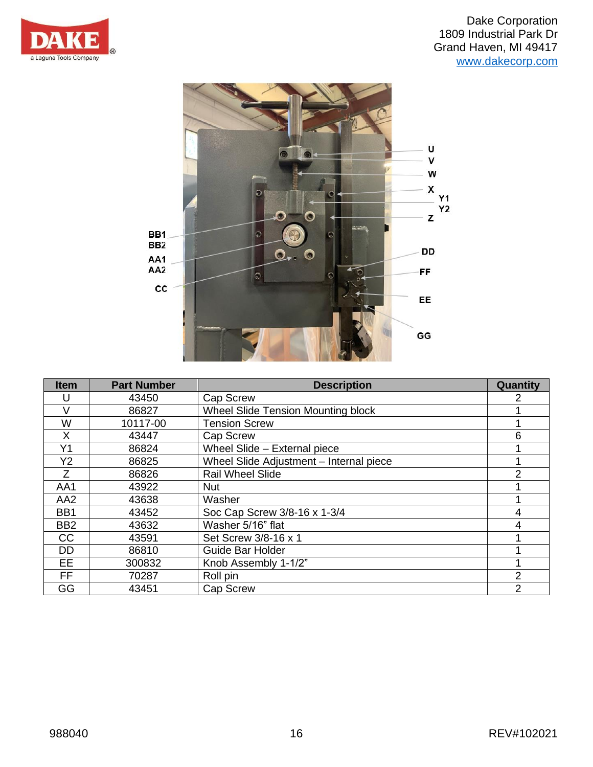



| <b>Item</b>     | <b>Part Number</b> | <b>Description</b>                        | Quantity       |
|-----------------|--------------------|-------------------------------------------|----------------|
| U               | 43450              | <b>Cap Screw</b>                          | 2              |
| V               | 86827              | <b>Wheel Slide Tension Mounting block</b> |                |
| W               | 10117-00           | <b>Tension Screw</b>                      |                |
| X               | 43447              | Cap Screw                                 | 6              |
| Y1              | 86824              | Wheel Slide - External piece              |                |
| Y <sub>2</sub>  | 86825              | Wheel Slide Adjustment - Internal piece   |                |
| Z.              | 86826              | <b>Rail Wheel Slide</b>                   | 2              |
| AA1             | 43922              | <b>Nut</b>                                |                |
| AA <sub>2</sub> | 43638              | Washer                                    |                |
| BB1             | 43452              | Soc Cap Screw 3/8-16 x 1-3/4              | 4              |
| BB <sub>2</sub> | 43632              | Washer 5/16" flat                         | 4              |
| <b>CC</b>       | 43591              | Set Screw 3/8-16 x 1                      |                |
| DD.             | 86810              | Guide Bar Holder                          |                |
| EE.             | 300832             | Knob Assembly 1-1/2"                      |                |
| FF.             | 70287              | Roll pin                                  | $\overline{2}$ |
| GG              | 43451              | <b>Cap Screw</b>                          | 2              |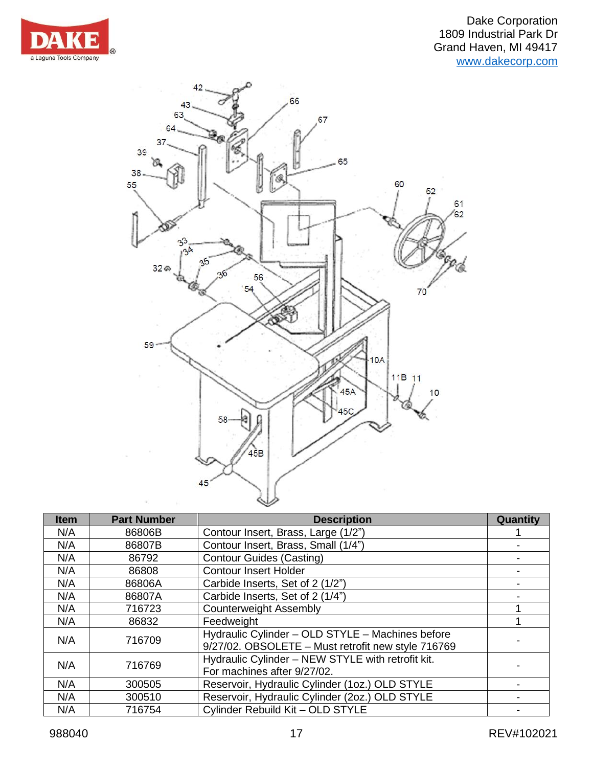



| <b>Item</b> | <b>Part Number</b> | <b>Description</b>                                                                                     | Quantity |
|-------------|--------------------|--------------------------------------------------------------------------------------------------------|----------|
| N/A         | 86806B             | Contour Insert, Brass, Large (1/2")                                                                    |          |
| N/A         | 86807B             | Contour Insert, Brass, Small (1/4")                                                                    |          |
| N/A         | 86792              | <b>Contour Guides (Casting)</b>                                                                        |          |
| N/A         | 86808              | <b>Contour Insert Holder</b>                                                                           |          |
| N/A         | 86806A             | Carbide Inserts, Set of 2 (1/2")                                                                       |          |
| N/A         | 86807A             | Carbide Inserts, Set of 2 (1/4")                                                                       |          |
| N/A         | 716723             | <b>Counterweight Assembly</b>                                                                          |          |
| N/A         | 86832              | Feedweight                                                                                             |          |
| N/A         | 716709             | Hydraulic Cylinder - OLD STYLE - Machines before<br>9/27/02. OBSOLETE - Must retrofit new style 716769 |          |
| N/A         | 716769             | Hydraulic Cylinder - NEW STYLE with retrofit kit.<br>For machines after 9/27/02.                       |          |
| N/A         | 300505             | Reservoir, Hydraulic Cylinder (1oz.) OLD STYLE                                                         |          |
| N/A         | 300510             | Reservoir, Hydraulic Cylinder (2oz.) OLD STYLE                                                         |          |
| N/A         | 716754             | Cylinder Rebuild Kit - OLD STYLE                                                                       |          |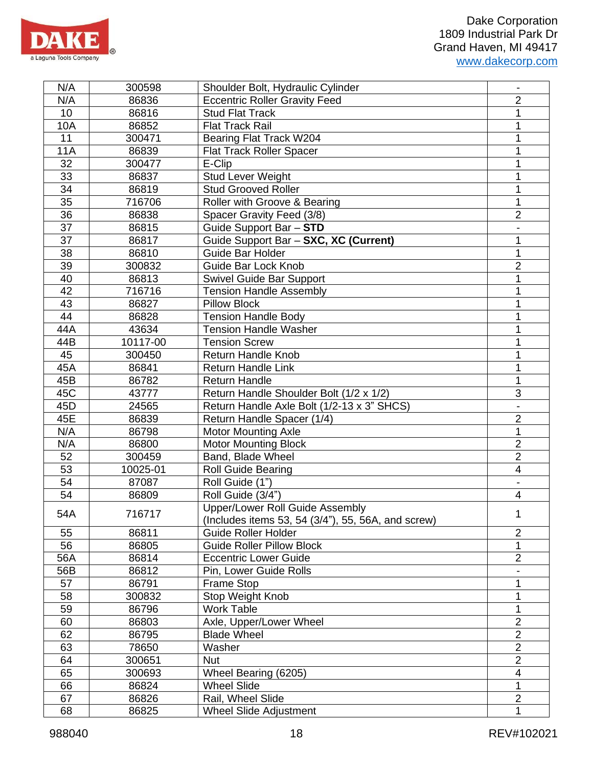

| N/A        | 300598   | Shoulder Bolt, Hydraulic Cylinder                    |                         |
|------------|----------|------------------------------------------------------|-------------------------|
| N/A        | 86836    | <b>Eccentric Roller Gravity Feed</b>                 | $\overline{2}$          |
| 10         | 86816    | <b>Stud Flat Track</b>                               | 1                       |
| 10A        | 86852    | <b>Flat Track Rail</b>                               | 1                       |
| 11         | 300471   | Bearing Flat Track W204                              | 1                       |
| <b>11A</b> | 86839    | Flat Track Roller Spacer                             |                         |
| 32         | 300477   | E-Clip                                               | 1                       |
| 33         | 86837    | <b>Stud Lever Weight</b>                             | 1                       |
| 34         | 86819    | <b>Stud Grooved Roller</b>                           | 1                       |
| 35         | 716706   | Roller with Groove & Bearing                         | 1                       |
| 36         | 86838    | Spacer Gravity Feed (3/8)                            | $\overline{2}$          |
| 37         | 86815    | Guide Support Bar - STD                              |                         |
| 37         | 86817    | Guide Support Bar - SXC, XC (Current)                | 1                       |
| 38         | 86810    | <b>Guide Bar Holder</b>                              | 1                       |
| 39         | 300832   | Guide Bar Lock Knob                                  | $\overline{2}$          |
| 40         | 86813    | <b>Swivel Guide Bar Support</b>                      | 1                       |
| 42         | 716716   | <b>Tension Handle Assembly</b>                       | 1                       |
| 43         | 86827    | <b>Pillow Block</b>                                  | 1                       |
| 44         | 86828    | <b>Tension Handle Body</b>                           | 1                       |
| 44A        | 43634    | <b>Tension Handle Washer</b>                         | 1                       |
| 44B        | 10117-00 | <b>Tension Screw</b>                                 | 1                       |
| 45         | 300450   | <b>Return Handle Knob</b>                            | 1                       |
| 45A        | 86841    | <b>Return Handle Link</b>                            | 1                       |
| 45B        | 86782    | <b>Return Handle</b>                                 | 1                       |
| 45C        | 43777    | Return Handle Shoulder Bolt (1/2 x 1/2)              | 3                       |
| 45D        | 24565    | Return Handle Axle Bolt (1/2-13 x 3" SHCS)           |                         |
| 45E        | 86839    | Return Handle Spacer (1/4)                           | $\overline{2}$          |
| N/A        | 86798    | <b>Motor Mounting Axle</b>                           | 1                       |
| N/A        | 86800    | <b>Motor Mounting Block</b>                          | $\overline{2}$          |
| 52         | 300459   | Band, Blade Wheel                                    | $\overline{2}$          |
| 53         | 10025-01 | <b>Roll Guide Bearing</b>                            | $\overline{\mathbf{4}}$ |
| 54         | 87087    | Roll Guide (1")                                      |                         |
| 54         | 86809    | Roll Guide (3/4")                                    | $\overline{\mathbf{4}}$ |
| 54A        |          | Upper/Lower Roll Guide Assembly                      |                         |
|            | 716717   | (Includes items 53, 54 $(3/4)$ , 55, 56A, and screw) | 1                       |
| 55         | 86811    | <b>Guide Roller Holder</b>                           | $\overline{2}$          |
| 56         | 86805    | <b>Guide Roller Pillow Block</b>                     | 1                       |
| 56A        | 86814    | <b>Eccentric Lower Guide</b>                         | $\overline{2}$          |
| 56B        | 86812    | Pin, Lower Guide Rolls                               |                         |
| 57         | 86791    | <b>Frame Stop</b>                                    | 1                       |
| 58         | 300832   | <b>Stop Weight Knob</b>                              | 1                       |
| 59         | 86796    | <b>Work Table</b>                                    | 1                       |
| 60         | 86803    | Axle, Upper/Lower Wheel                              | $\overline{2}$          |
| 62         | 86795    | <b>Blade Wheel</b>                                   | $\overline{2}$          |
| 63         | 78650    | Washer                                               | $\overline{2}$          |
| 64         | 300651   | <b>Nut</b>                                           | $\overline{2}$          |
| 65         | 300693   | Wheel Bearing (6205)                                 | $\overline{\mathbf{4}}$ |
| 66         | 86824    | <b>Wheel Slide</b>                                   | 1                       |
| 67         | 86826    | Rail, Wheel Slide                                    | $\overline{c}$          |
| 68         | 86825    | <b>Wheel Slide Adjustment</b>                        | 1                       |